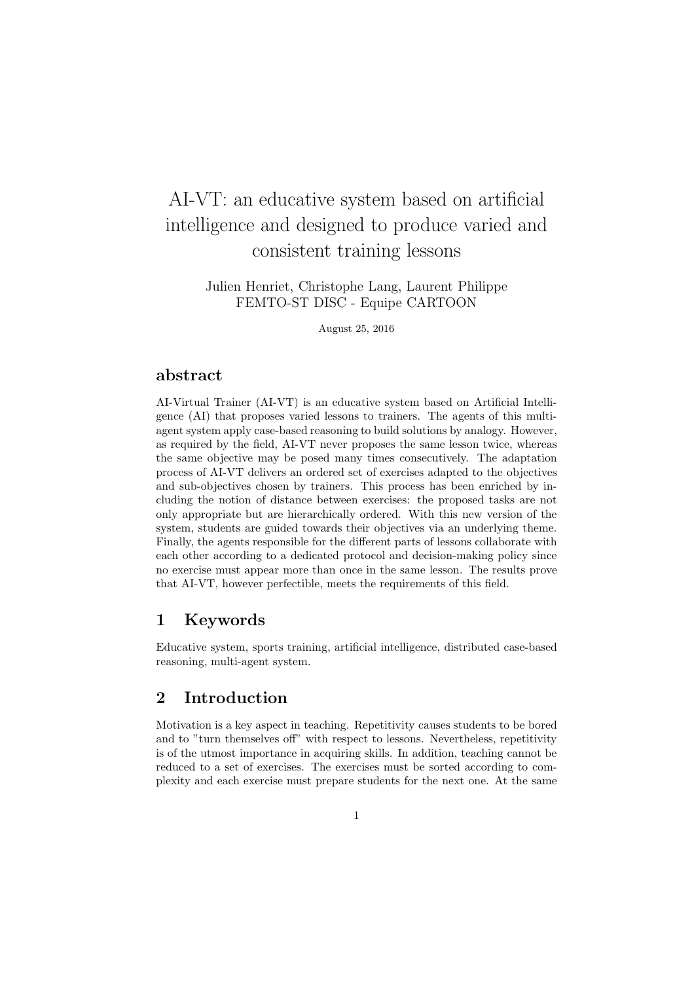# AI-VT: an educative system based on artificial intelligence and designed to produce varied and consistent training lessons

Julien Henriet, Christophe Lang, Laurent Philippe FEMTO-ST DISC - Equipe CARTOON

August 25, 2016

## abstract

AI-Virtual Trainer (AI-VT) is an educative system based on Artificial Intelligence (AI) that proposes varied lessons to trainers. The agents of this multiagent system apply case-based reasoning to build solutions by analogy. However, as required by the field, AI-VT never proposes the same lesson twice, whereas the same objective may be posed many times consecutively. The adaptation process of AI-VT delivers an ordered set of exercises adapted to the objectives and sub-objectives chosen by trainers. This process has been enriched by including the notion of distance between exercises: the proposed tasks are not only appropriate but are hierarchically ordered. With this new version of the system, students are guided towards their objectives via an underlying theme. Finally, the agents responsible for the different parts of lessons collaborate with each other according to a dedicated protocol and decision-making policy since no exercise must appear more than once in the same lesson. The results prove that AI-VT, however perfectible, meets the requirements of this field.

# 1 Keywords

Educative system, sports training, artificial intelligence, distributed case-based reasoning, multi-agent system.

# 2 Introduction

Motivation is a key aspect in teaching. Repetitivity causes students to be bored and to "turn themselves off" with respect to lessons. Nevertheless, repetitivity is of the utmost importance in acquiring skills. In addition, teaching cannot be reduced to a set of exercises. The exercises must be sorted according to complexity and each exercise must prepare students for the next one. At the same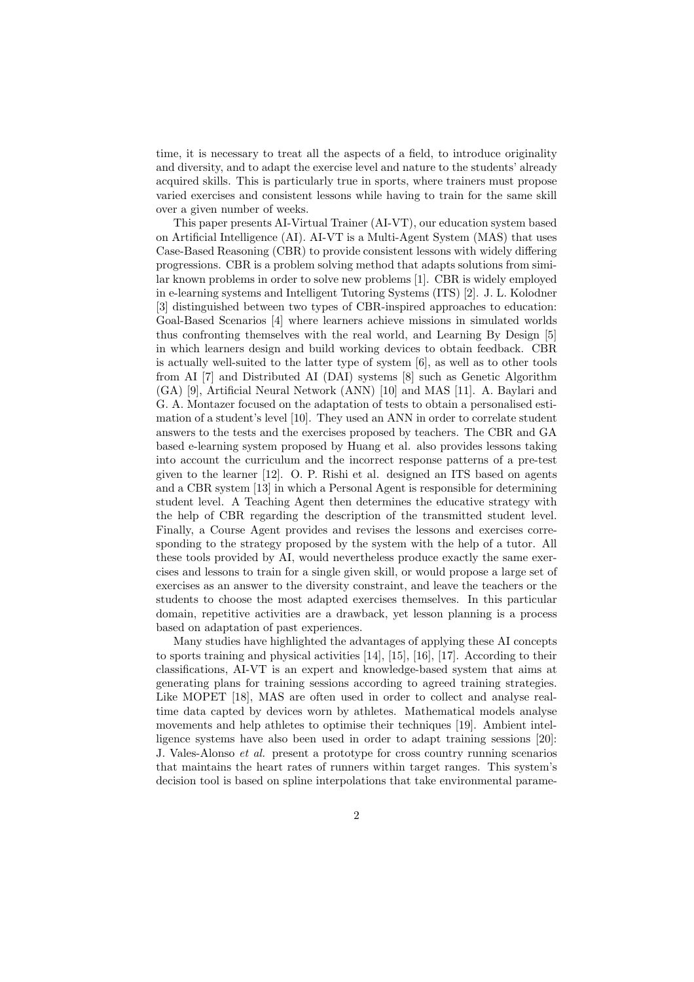time, it is necessary to treat all the aspects of a field, to introduce originality and diversity, and to adapt the exercise level and nature to the students' already acquired skills. This is particularly true in sports, where trainers must propose varied exercises and consistent lessons while having to train for the same skill over a given number of weeks.

This paper presents AI-Virtual Trainer (AI-VT), our education system based on Artificial Intelligence (AI). AI-VT is a Multi-Agent System (MAS) that uses Case-Based Reasoning (CBR) to provide consistent lessons with widely differing progressions. CBR is a problem solving method that adapts solutions from similar known problems in order to solve new problems [1]. CBR is widely employed in e-learning systems and Intelligent Tutoring Systems (ITS) [2]. J. L. Kolodner [3] distinguished between two types of CBR-inspired approaches to education: Goal-Based Scenarios [4] where learners achieve missions in simulated worlds thus confronting themselves with the real world, and Learning By Design [5] in which learners design and build working devices to obtain feedback. CBR is actually well-suited to the latter type of system [6], as well as to other tools from AI [7] and Distributed AI (DAI) systems [8] such as Genetic Algorithm (GA) [9], Artificial Neural Network (ANN) [10] and MAS [11]. A. Baylari and G. A. Montazer focused on the adaptation of tests to obtain a personalised estimation of a student's level [10]. They used an ANN in order to correlate student answers to the tests and the exercises proposed by teachers. The CBR and GA based e-learning system proposed by Huang et al. also provides lessons taking into account the curriculum and the incorrect response patterns of a pre-test given to the learner [12]. O. P. Rishi et al. designed an ITS based on agents and a CBR system [13] in which a Personal Agent is responsible for determining student level. A Teaching Agent then determines the educative strategy with the help of CBR regarding the description of the transmitted student level. Finally, a Course Agent provides and revises the lessons and exercises corresponding to the strategy proposed by the system with the help of a tutor. All these tools provided by AI, would nevertheless produce exactly the same exercises and lessons to train for a single given skill, or would propose a large set of exercises as an answer to the diversity constraint, and leave the teachers or the students to choose the most adapted exercises themselves. In this particular domain, repetitive activities are a drawback, yet lesson planning is a process based on adaptation of past experiences.

Many studies have highlighted the advantages of applying these AI concepts to sports training and physical activities [14], [15], [16], [17]. According to their classifications, AI-VT is an expert and knowledge-based system that aims at generating plans for training sessions according to agreed training strategies. Like MOPET [18], MAS are often used in order to collect and analyse realtime data capted by devices worn by athletes. Mathematical models analyse movements and help athletes to optimise their techniques [19]. Ambient intelligence systems have also been used in order to adapt training sessions [20]: J. Vales-Alonso *et al.* present a prototype for cross country running scenarios that maintains the heart rates of runners within target ranges. This system's decision tool is based on spline interpolations that take environmental parame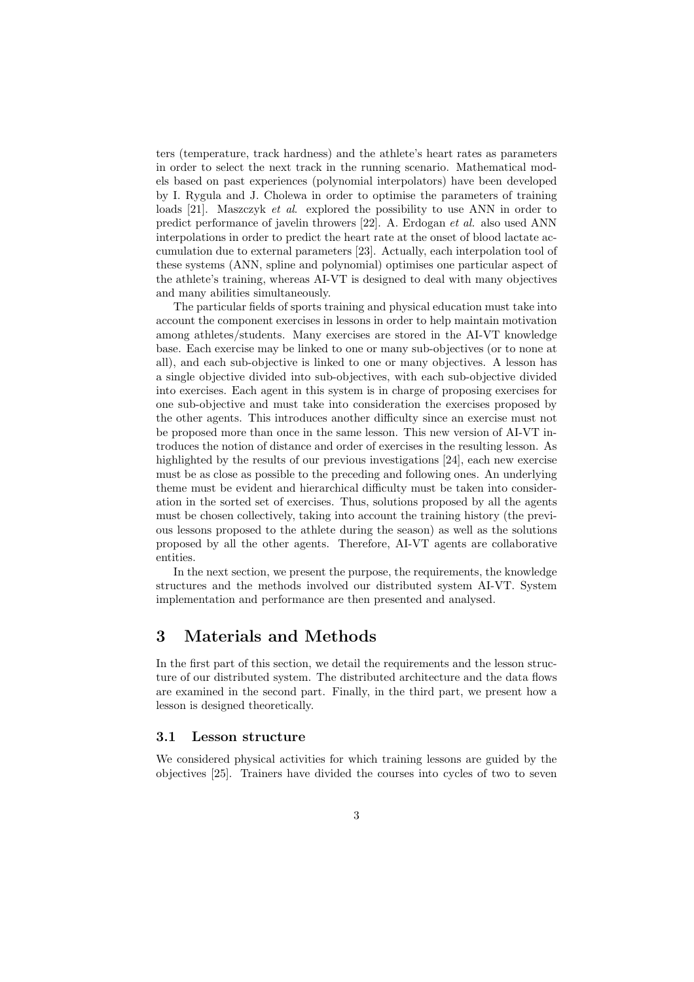ters (temperature, track hardness) and the athlete's heart rates as parameters in order to select the next track in the running scenario. Mathematical models based on past experiences (polynomial interpolators) have been developed by I. Rygula and J. Cholewa in order to optimise the parameters of training loads [21]. Maszczyk *et al*. explored the possibility to use ANN in order to predict performance of javelin throwers [22]. A. Erdogan *et al.* also used ANN interpolations in order to predict the heart rate at the onset of blood lactate accumulation due to external parameters [23]. Actually, each interpolation tool of these systems (ANN, spline and polynomial) optimises one particular aspect of the athlete's training, whereas AI-VT is designed to deal with many objectives and many abilities simultaneously.

The particular fields of sports training and physical education must take into account the component exercises in lessons in order to help maintain motivation among athletes/students. Many exercises are stored in the AI-VT knowledge base. Each exercise may be linked to one or many sub-objectives (or to none at all), and each sub-objective is linked to one or many objectives. A lesson has a single objective divided into sub-objectives, with each sub-objective divided into exercises. Each agent in this system is in charge of proposing exercises for one sub-objective and must take into consideration the exercises proposed by the other agents. This introduces another difficulty since an exercise must not be proposed more than once in the same lesson. This new version of AI-VT introduces the notion of distance and order of exercises in the resulting lesson. As highlighted by the results of our previous investigations [24], each new exercise must be as close as possible to the preceding and following ones. An underlying theme must be evident and hierarchical difficulty must be taken into consideration in the sorted set of exercises. Thus, solutions proposed by all the agents must be chosen collectively, taking into account the training history (the previous lessons proposed to the athlete during the season) as well as the solutions proposed by all the other agents. Therefore, AI-VT agents are collaborative entities.

In the next section, we present the purpose, the requirements, the knowledge structures and the methods involved our distributed system AI-VT. System implementation and performance are then presented and analysed.

## 3 Materials and Methods

In the first part of this section, we detail the requirements and the lesson structure of our distributed system. The distributed architecture and the data flows are examined in the second part. Finally, in the third part, we present how a lesson is designed theoretically.

#### 3.1 Lesson structure

We considered physical activities for which training lessons are guided by the objectives [25]. Trainers have divided the courses into cycles of two to seven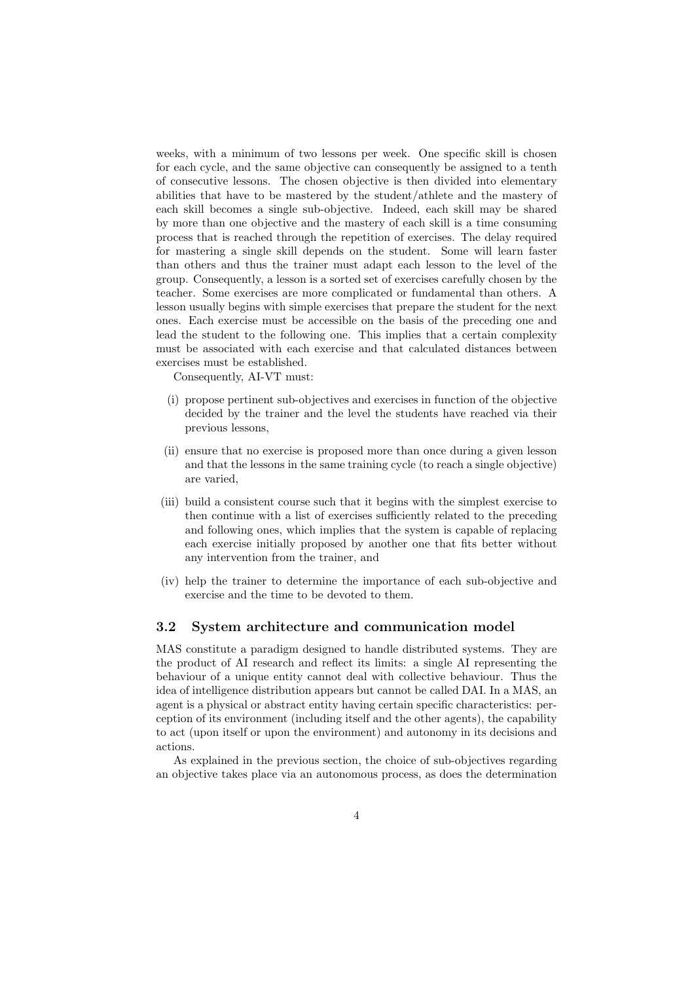weeks, with a minimum of two lessons per week. One specific skill is chosen for each cycle, and the same objective can consequently be assigned to a tenth of consecutive lessons. The chosen objective is then divided into elementary abilities that have to be mastered by the student/athlete and the mastery of each skill becomes a single sub-objective. Indeed, each skill may be shared by more than one objective and the mastery of each skill is a time consuming process that is reached through the repetition of exercises. The delay required for mastering a single skill depends on the student. Some will learn faster than others and thus the trainer must adapt each lesson to the level of the group. Consequently, a lesson is a sorted set of exercises carefully chosen by the teacher. Some exercises are more complicated or fundamental than others. A lesson usually begins with simple exercises that prepare the student for the next ones. Each exercise must be accessible on the basis of the preceding one and lead the student to the following one. This implies that a certain complexity must be associated with each exercise and that calculated distances between exercises must be established.

Consequently, AI-VT must:

- (i) propose pertinent sub-objectives and exercises in function of the objective decided by the trainer and the level the students have reached via their previous lessons,
- (ii) ensure that no exercise is proposed more than once during a given lesson and that the lessons in the same training cycle (to reach a single objective) are varied,
- (iii) build a consistent course such that it begins with the simplest exercise to then continue with a list of exercises sufficiently related to the preceding and following ones, which implies that the system is capable of replacing each exercise initially proposed by another one that fits better without any intervention from the trainer, and
- (iv) help the trainer to determine the importance of each sub-objective and exercise and the time to be devoted to them.

## 3.2 System architecture and communication model

MAS constitute a paradigm designed to handle distributed systems. They are the product of AI research and reflect its limits: a single AI representing the behaviour of a unique entity cannot deal with collective behaviour. Thus the idea of intelligence distribution appears but cannot be called DAI. In a MAS, an agent is a physical or abstract entity having certain specific characteristics: perception of its environment (including itself and the other agents), the capability to act (upon itself or upon the environment) and autonomy in its decisions and actions.

As explained in the previous section, the choice of sub-objectives regarding an objective takes place via an autonomous process, as does the determination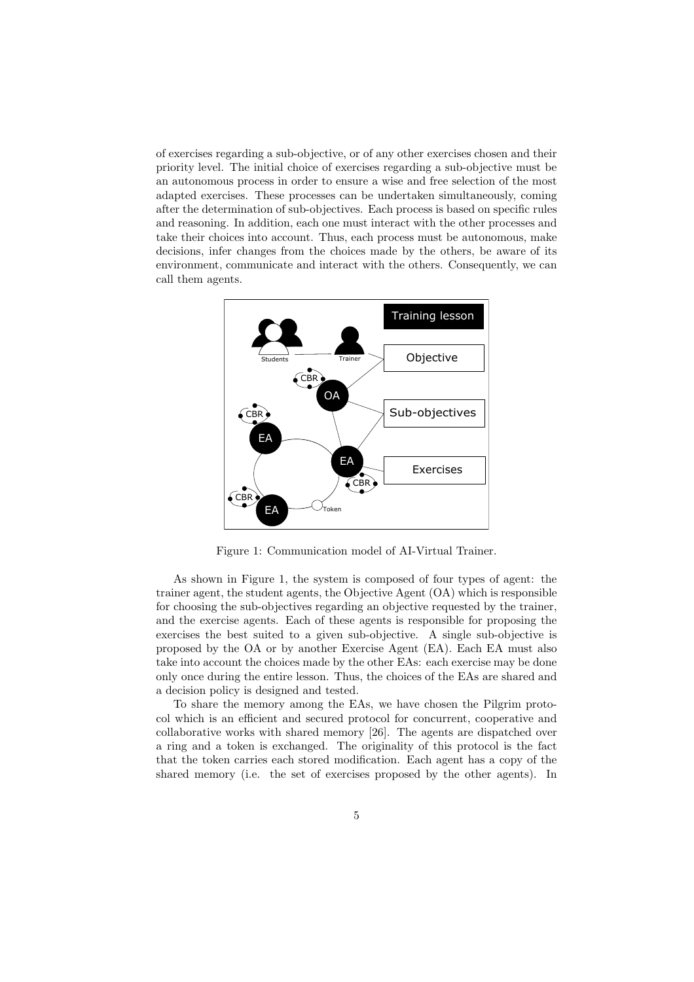of exercises regarding a sub-objective, or of any other exercises chosen and their priority level. The initial choice of exercises regarding a sub-objective must be an autonomous process in order to ensure a wise and free selection of the most adapted exercises. These processes can be undertaken simultaneously, coming after the determination of sub-objectives. Each process is based on specific rules and reasoning. In addition, each one must interact with the other processes and take their choices into account. Thus, each process must be autonomous, make decisions, infer changes from the choices made by the others, be aware of its environment, communicate and interact with the others. Consequently, we can call them agents.



Figure 1: Communication model of AI-Virtual Trainer.

As shown in Figure 1, the system is composed of four types of agent: the trainer agent, the student agents, the Objective Agent (OA) which is responsible for choosing the sub-objectives regarding an objective requested by the trainer, and the exercise agents. Each of these agents is responsible for proposing the exercises the best suited to a given sub-objective. A single sub-objective is proposed by the OA or by another Exercise Agent (EA). Each EA must also take into account the choices made by the other EAs: each exercise may be done only once during the entire lesson. Thus, the choices of the EAs are shared and a decision policy is designed and tested.

To share the memory among the EAs, we have chosen the Pilgrim protocol which is an efficient and secured protocol for concurrent, cooperative and collaborative works with shared memory [26]. The agents are dispatched over a ring and a token is exchanged. The originality of this protocol is the fact that the token carries each stored modification. Each agent has a copy of the shared memory (i.e. the set of exercises proposed by the other agents). In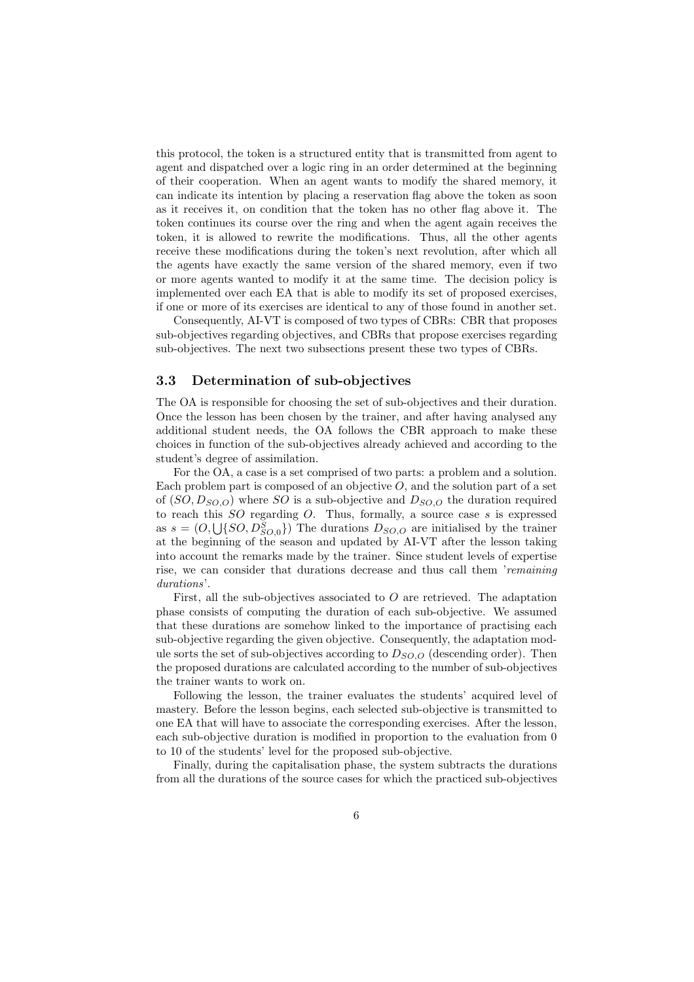this protocol, the token is a structured entity that is transmitted from agent to agent and dispatched over a logic ring in an order determined at the beginning of their cooperation. When an agent wants to modify the shared memory, it can indicate its intention by placing a reservation flag above the token as soon as it receives it, on condition that the token has no other flag above it. The token continues its course over the ring and when the agent again receives the token, it is allowed to rewrite the modifications. Thus, all the other agents receive these modifications during the token's next revolution, after which all the agents have exactly the same version of the shared memory, even if two or more agents wanted to modify it at the same time. The decision policy is implemented over each EA that is able to modify its set of proposed exercises, if one or more of its exercises are identical to any of those found in another set.

Consequently, AI-VT is composed of two types of CBRs: CBR that proposes sub-objectives regarding objectives, and CBRs that propose exercises regarding sub-objectives. The next two subsections present these two types of CBRs.

## 3.3 Determination of sub-objectives

The OA is responsible for choosing the set of sub-objectives and their duration. Once the lesson has been chosen by the trainer, and after having analysed any additional student needs, the OA follows the CBR approach to make these choices in function of the sub-objectives already achieved and according to the student's degree of assimilation.

For the OA, a case is a set comprised of two parts: a problem and a solution. Each problem part is composed of an objective  $O$ , and the solution part of a set of  $(SO, D_{SO,O})$  where SO is a sub-objective and  $D_{SO,O}$  the duration required to reach this  $SO$  regarding  $O$ . Thus, formally, a source case  $s$  is expressed as  $s = (O, \bigcup\{SO, D_{SO,0}^S\})$  The durations  $D_{SO,O}$  are initialised by the trainer at the beginning of the season and updated by AI-VT after the lesson taking into account the remarks made by the trainer. Since student levels of expertise rise, we can consider that durations decrease and thus call them '*remaining durations*'.

First, all the sub-objectives associated to  $O$  are retrieved. The adaptation phase consists of computing the duration of each sub-objective. We assumed that these durations are somehow linked to the importance of practising each sub-objective regarding the given objective. Consequently, the adaptation module sorts the set of sub-objectives according to  $D_{SO,O}$  (descending order). Then the proposed durations are calculated according to the number of sub-objectives the trainer wants to work on.

Following the lesson, the trainer evaluates the students' acquired level of mastery. Before the lesson begins, each selected sub-objective is transmitted to one EA that will have to associate the corresponding exercises. After the lesson, each sub-objective duration is modified in proportion to the evaluation from 0 to 10 of the students' level for the proposed sub-objective.

Finally, during the capitalisation phase, the system subtracts the durations from all the durations of the source cases for which the practiced sub-objectives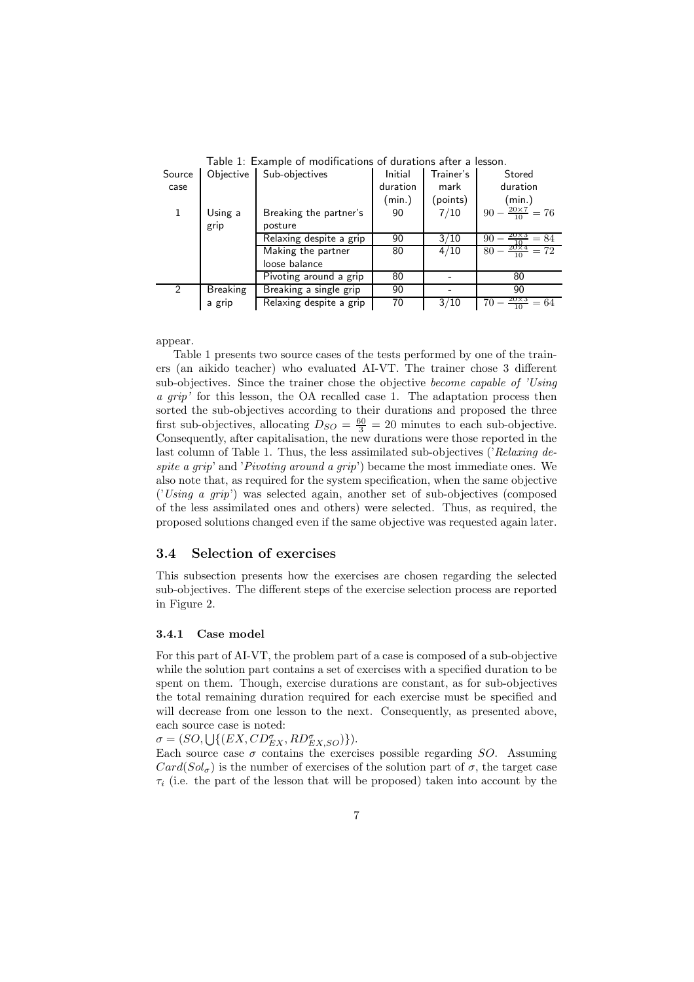| Source | Objective       | Sub-objectives          | Initial  | Trainer's | Stored                             |
|--------|-----------------|-------------------------|----------|-----------|------------------------------------|
| case   |                 |                         | duration | mark      | duration                           |
|        |                 |                         | (min.)   | (points)  | (min.)                             |
| 1      | Using a         | Breaking the partner's  | 90       | 7/10      | $90 - \frac{20 \times 7}{10} = 76$ |
|        | grip            | posture                 |          |           |                                    |
|        |                 | Relaxing despite a grip | 90       | 3/10      | $\frac{20\times3}{10} = 84$<br>90  |
|        |                 | Making the partner      | 80       | 4/10      | $80 - \frac{20 \times 4}{10} = 72$ |
|        |                 | loose balance           |          |           |                                    |
|        |                 | Pivoting around a grip  | 80       |           | 80                                 |
| 2      | <b>Breaking</b> | Breaking a single grip  | 90       |           | 90                                 |
|        | a grip          | Relaxing despite a grip | 70       | 3/10      | $\frac{20\times3}{10}$<br>$= 64$   |

Table 1: Example of modifications of durations after a lesson.

appear.

Table 1 presents two source cases of the tests performed by one of the trainers (an aikido teacher) who evaluated AI-VT. The trainer chose 3 different sub-objectives. Since the trainer chose the objective *become capable of 'Using a grip'* for this lesson, the OA recalled case 1. The adaptation process then sorted the sub-objectives according to their durations and proposed the three first sub-objectives, allocating  $D_{SO} = \frac{60}{3} = 20$  minutes to each sub-objective. Consequently, after capitalisation, the new durations were those reported in the last column of Table 1. Thus, the less assimilated sub-objectives ('*Relaxing despite a grip*' and '*Pivoting around a grip*') became the most immediate ones. We also note that, as required for the system specification, when the same objective ('*Using a grip*') was selected again, another set of sub-objectives (composed of the less assimilated ones and others) were selected. Thus, as required, the proposed solutions changed even if the same objective was requested again later.

## 3.4 Selection of exercises

This subsection presents how the exercises are chosen regarding the selected sub-objectives. The different steps of the exercise selection process are reported in Figure 2.

#### 3.4.1 Case model

For this part of AI-VT, the problem part of a case is composed of a sub-objective while the solution part contains a set of exercises with a specified duration to be spent on them. Though, exercise durations are constant, as for sub-objectives the total remaining duration required for each exercise must be specified and will decrease from one lesson to the next. Consequently, as presented above, each source case is noted:

 $\sigma = (SO, \bigcup \{ (EX, CD_{EX}^{\sigma}, RD_{EX,SO}^{\sigma}) \}).$ 

Each source case  $\sigma$  contains the exercises possible regarding SO. Assuming  $Card(Sol_{\sigma})$  is the number of exercises of the solution part of  $\sigma$ , the target case  $\tau_i$  (i.e. the part of the lesson that will be proposed) taken into account by the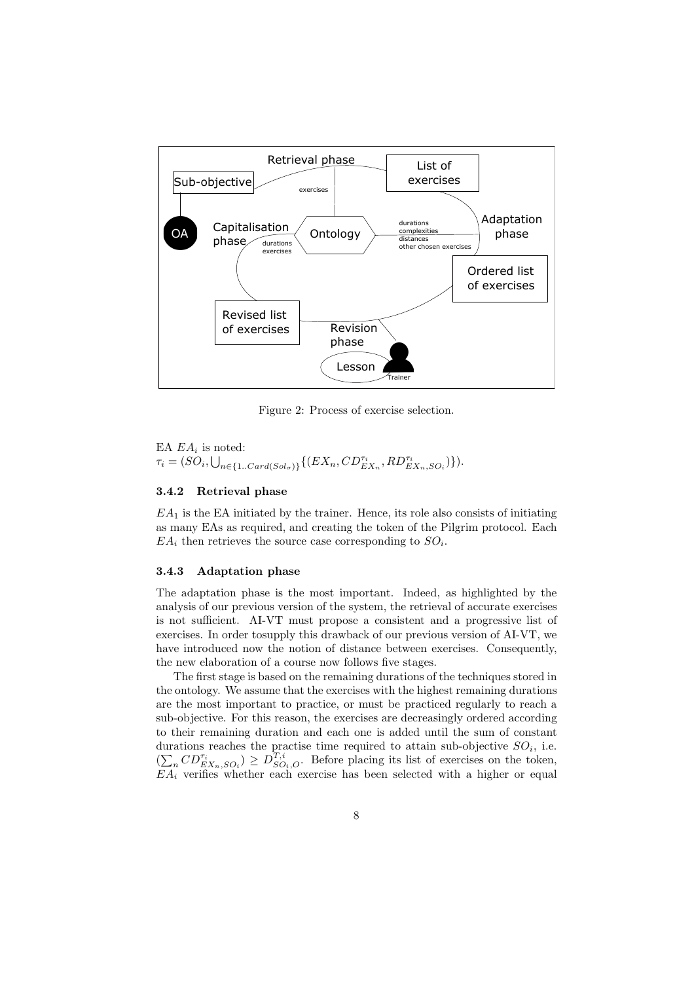

Figure 2: Process of exercise selection.

EA  $EA_i$  is noted:  $\tau_i = (SO_i, \bigcup_{n \in \{1..Card(Sol_{\sigma})\}} \{(EX_n, CD_{EX_n}^{\tau_i}, RD_{EX_n, SO_i}^{\tau_i})\}).$ 

## 3.4.2 Retrieval phase

 $EA_1$  is the EA initiated by the trainer. Hence, its role also consists of initiating as many EAs as required, and creating the token of the Pilgrim protocol. Each  $EA_i$  then retrieves the source case corresponding to  $SO_i$ .

### 3.4.3 Adaptation phase

The adaptation phase is the most important. Indeed, as highlighted by the analysis of our previous version of the system, the retrieval of accurate exercises is not sufficient. AI-VT must propose a consistent and a progressive list of exercises. In order tosupply this drawback of our previous version of AI-VT, we have introduced now the notion of distance between exercises. Consequently, the new elaboration of a course now follows five stages.

The first stage is based on the remaining durations of the techniques stored in the ontology. We assume that the exercises with the highest remaining durations are the most important to practice, or must be practiced regularly to reach a sub-objective. For this reason, the exercises are decreasingly ordered according to their remaining duration and each one is added until the sum of constant durations reaches the practise time required to attain sub-objective  $SO_i$ , i.e.  $(\sum_{n} CD_{EX_n,SO_i}^{\tau_i}) \geq D_{SO_i,O}^{\overline{T},i}$ . Before placing its list of exercises on the token,  $EA_i$  verifies whether each exercise has been selected with a higher or equal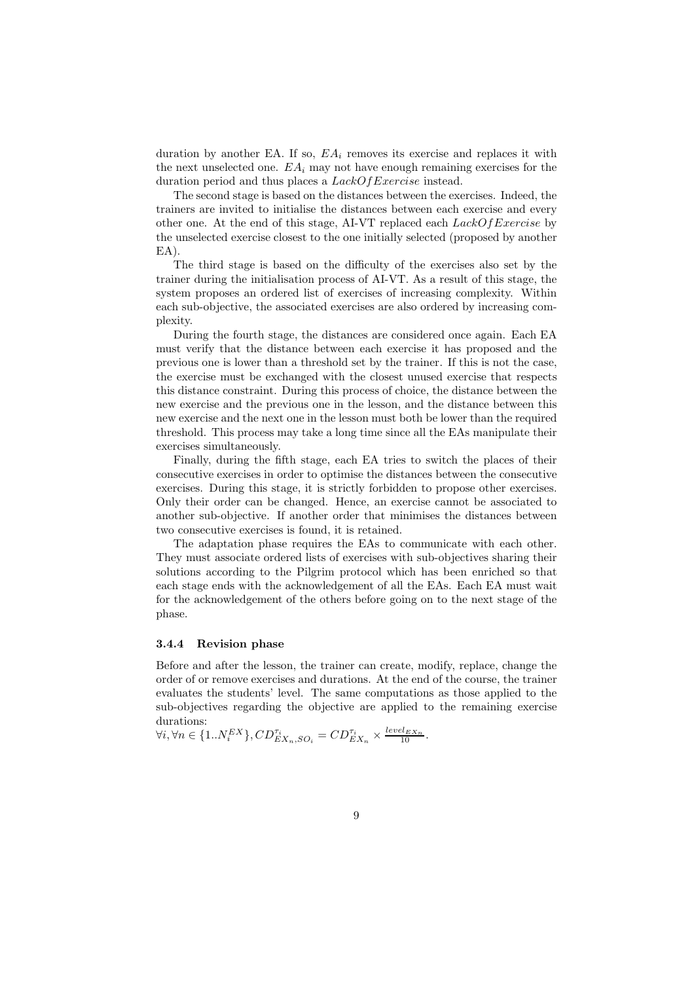duration by another EA. If so,  $EA_i$  removes its exercise and replaces it with the next unselected one.  $EA_i$  may not have enough remaining exercises for the duration period and thus places a *LackOf Exercise* instead.

The second stage is based on the distances between the exercises. Indeed, the trainers are invited to initialise the distances between each exercise and every other one. At the end of this stage, AI-VT replaced each  $LackOfExercise$  by the unselected exercise closest to the one initially selected (proposed by another EA).

The third stage is based on the difficulty of the exercises also set by the trainer during the initialisation process of AI-VT. As a result of this stage, the system proposes an ordered list of exercises of increasing complexity. Within each sub-objective, the associated exercises are also ordered by increasing complexity.

During the fourth stage, the distances are considered once again. Each EA must verify that the distance between each exercise it has proposed and the previous one is lower than a threshold set by the trainer. If this is not the case, the exercise must be exchanged with the closest unused exercise that respects this distance constraint. During this process of choice, the distance between the new exercise and the previous one in the lesson, and the distance between this new exercise and the next one in the lesson must both be lower than the required threshold. This process may take a long time since all the EAs manipulate their exercises simultaneously.

Finally, during the fifth stage, each EA tries to switch the places of their consecutive exercises in order to optimise the distances between the consecutive exercises. During this stage, it is strictly forbidden to propose other exercises. Only their order can be changed. Hence, an exercise cannot be associated to another sub-objective. If another order that minimises the distances between two consecutive exercises is found, it is retained.

The adaptation phase requires the EAs to communicate with each other. They must associate ordered lists of exercises with sub-objectives sharing their solutions according to the Pilgrim protocol which has been enriched so that each stage ends with the acknowledgement of all the EAs. Each EA must wait for the acknowledgement of the others before going on to the next stage of the phase.

#### 3.4.4 Revision phase

Before and after the lesson, the trainer can create, modify, replace, change the order of or remove exercises and durations. At the end of the course, the trainer evaluates the students' level. The same computations as those applied to the sub-objectives regarding the objective are applied to the remaining exercise durations:

$$
\forall i, \forall n \in \{1..N_i^{EX}\}, CD_{EX_n, SO_i}^{\tau_i} = CD_{EX_n}^{\tau_i} \times \frac{level_{EX_n}}{10}.
$$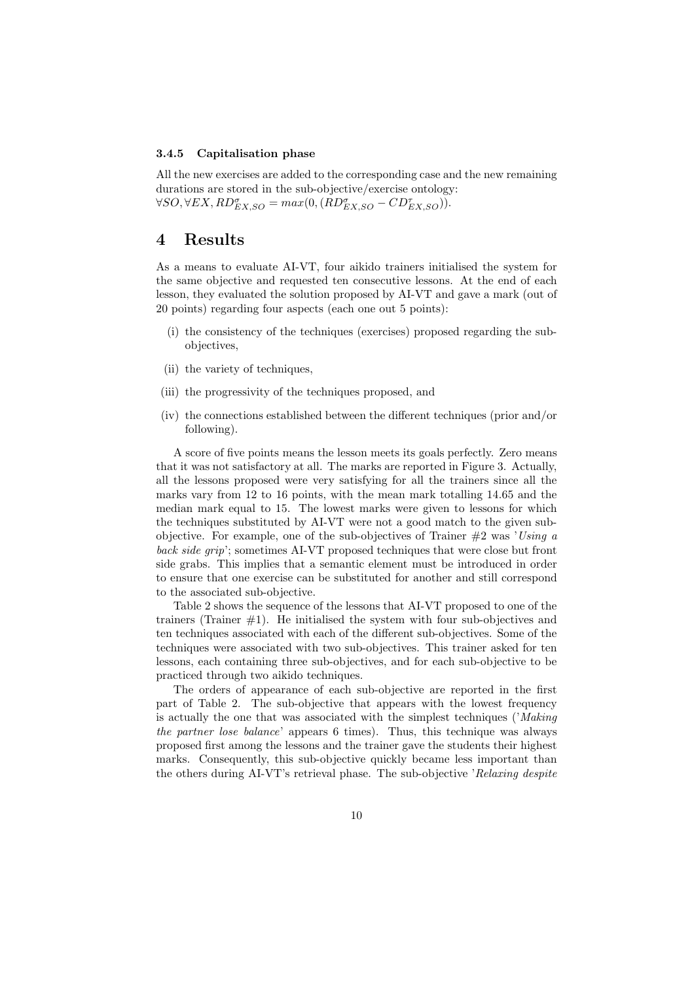#### 3.4.5 Capitalisation phase

All the new exercises are added to the corresponding case and the new remaining durations are stored in the sub-objective/exercise ontology:  $\forall SO, \forall EX, RD_{EX, SO}^{\sigma} = max(0, (RD_{EX, SO}^{\sigma} - CD_{EX, SO}^{\tau}))$ .

## 4 Results

As a means to evaluate AI-VT, four aikido trainers initialised the system for the same objective and requested ten consecutive lessons. At the end of each lesson, they evaluated the solution proposed by AI-VT and gave a mark (out of 20 points) regarding four aspects (each one out 5 points):

- (i) the consistency of the techniques (exercises) proposed regarding the subobjectives,
- (ii) the variety of techniques,
- (iii) the progressivity of the techniques proposed, and
- (iv) the connections established between the different techniques (prior and/or following).

A score of five points means the lesson meets its goals perfectly. Zero means that it was not satisfactory at all. The marks are reported in Figure 3. Actually, all the lessons proposed were very satisfying for all the trainers since all the marks vary from 12 to 16 points, with the mean mark totalling 14.65 and the median mark equal to 15. The lowest marks were given to lessons for which the techniques substituted by AI-VT were not a good match to the given subobjective. For example, one of the sub-objectives of Trainer #2 was '*Using a back side grip*'; sometimes AI-VT proposed techniques that were close but front side grabs. This implies that a semantic element must be introduced in order to ensure that one exercise can be substituted for another and still correspond to the associated sub-objective.

Table 2 shows the sequence of the lessons that AI-VT proposed to one of the trainers (Trainer  $#1$ ). He initialised the system with four sub-objectives and ten techniques associated with each of the different sub-objectives. Some of the techniques were associated with two sub-objectives. This trainer asked for ten lessons, each containing three sub-objectives, and for each sub-objective to be practiced through two aikido techniques.

The orders of appearance of each sub-objective are reported in the first part of Table 2. The sub-objective that appears with the lowest frequency is actually the one that was associated with the simplest techniques ('*Making the partner lose balance*' appears 6 times). Thus, this technique was always proposed first among the lessons and the trainer gave the students their highest marks. Consequently, this sub-objective quickly became less important than the others during AI-VT's retrieval phase. The sub-objective '*Relaxing despite*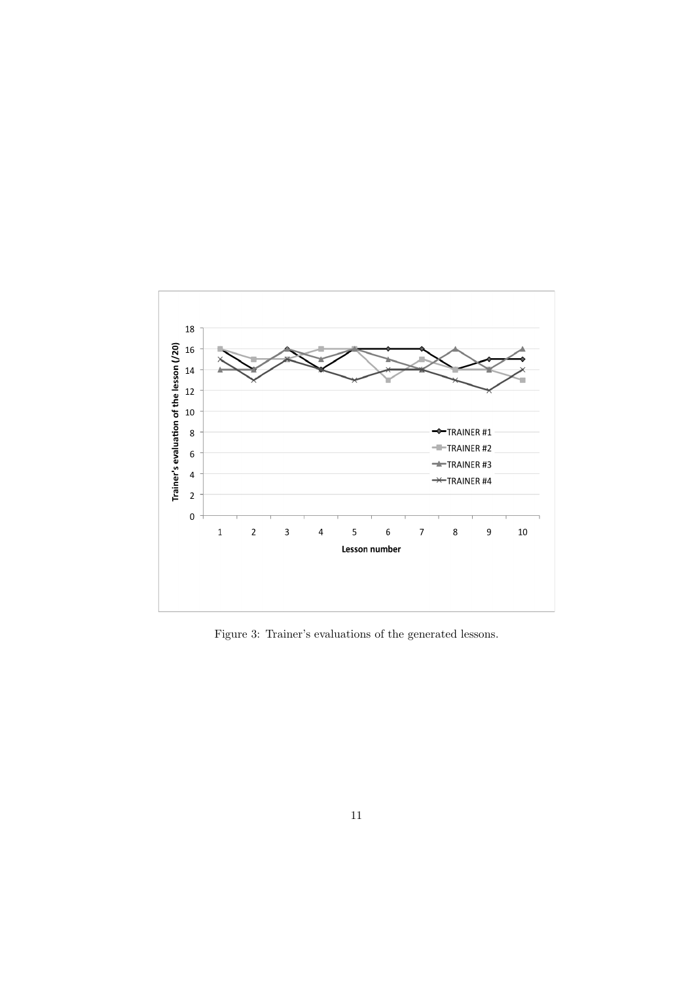

Figure 3: Trainer's evaluations of the generated lessons.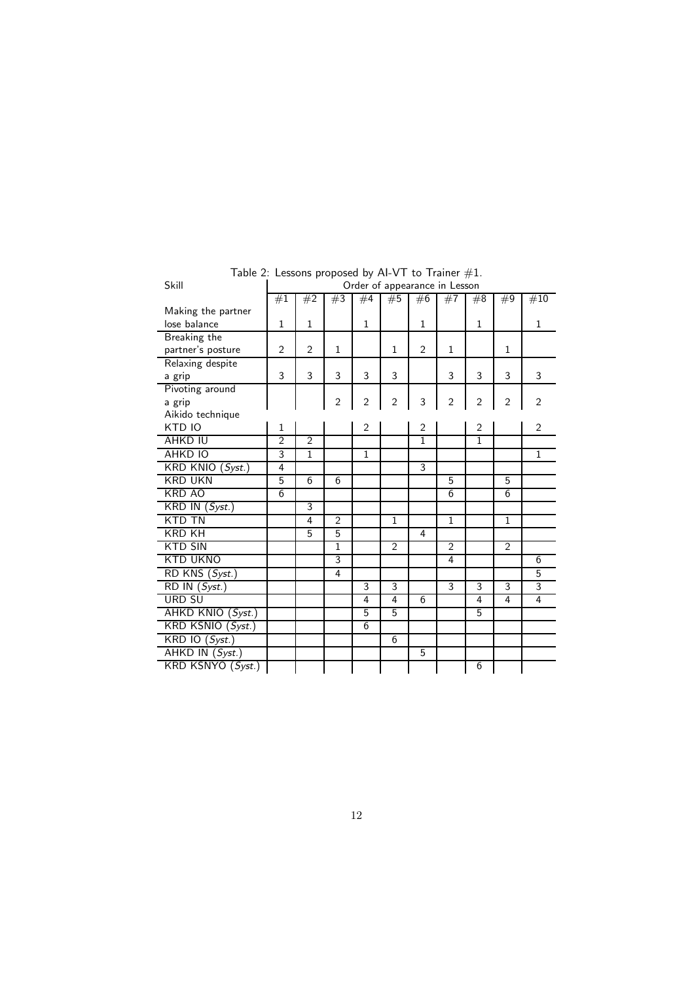| Skill                                                          | Order of appearance in Lesson |                |                |                |                |                |                |                |                |                |
|----------------------------------------------------------------|-------------------------------|----------------|----------------|----------------|----------------|----------------|----------------|----------------|----------------|----------------|
|                                                                | #1                            | #2             | #3             | #4             | #5             | #6             | #7             | #8             | #9             | #10            |
| Making the partner                                             |                               |                |                |                |                |                |                |                |                |                |
| lose balance                                                   | $\mathbf{1}$                  | $\mathbf{1}$   |                | $\mathbf{1}$   |                | $\mathbf{1}$   |                | $\mathbf{1}$   |                | $\mathbf{1}$   |
| <b>Breaking the</b>                                            |                               |                |                |                |                |                |                |                |                |                |
| partner's posture                                              | $\overline{2}$                | $\overline{2}$ | $\mathbf{1}$   |                | $\mathbf{1}$   | $\overline{2}$ | 1              |                | 1              |                |
| Relaxing despite                                               |                               |                |                |                |                |                |                |                |                |                |
| a grip                                                         | 3                             | 3              | 3              | 3              | 3              |                | 3              | 3              | 3              | 3              |
| Pivoting around                                                |                               |                |                |                |                |                |                |                |                |                |
| a grip                                                         |                               |                | $\overline{2}$ | $\overline{2}$ | $\overline{2}$ | 3              | $\overline{2}$ | $\overline{2}$ | $\overline{2}$ | $\overline{2}$ |
| Aikido technique                                               |                               |                |                |                |                |                |                |                |                |                |
| KTD IO                                                         | 1                             |                |                | $\overline{2}$ |                | $\overline{2}$ |                | $\overline{2}$ |                | 2              |
| AHKD IU                                                        | $\overline{2}$                | $\overline{2}$ |                |                |                | $\overline{1}$ |                | $\overline{1}$ |                |                |
| <b>AHKD IO</b>                                                 | 3                             | $\mathbf{1}$   |                | $\mathbf{1}$   |                |                |                |                |                | $\mathbf{1}$   |
| $\overline{\mathsf{KRD}}$ $\overline{\mathsf{KNIO}}$ $(Syst.)$ | 4                             |                |                |                |                | 3              |                |                |                |                |
| <b>KRD UKN</b>                                                 | 5                             | 6              | 6              |                |                |                | 5              |                | 5              |                |
| KRD AO                                                         | 6                             |                |                |                |                |                | 6              |                | 6              |                |
| KRD IN (Syst.)                                                 |                               | 3              |                |                |                |                |                |                |                |                |
| KTD TN                                                         |                               | 4              | $\overline{2}$ |                | $\mathbf{1}$   |                | $\mathbf{1}$   |                | $\mathbf{1}$   |                |
| <b>KRD KH</b>                                                  |                               | 5              | 5              |                |                | 4              |                |                |                |                |
| <b>KTD SIN</b>                                                 |                               |                | 1              |                | $\overline{2}$ |                | $\overline{2}$ |                | $\overline{2}$ |                |
| <b>KTD UKNO</b>                                                |                               |                | 3              |                |                |                | 4              |                |                | 6              |
| $\overline{\text{RD}}$ KNS $(Syst.)$                           |                               |                | 4              |                |                |                |                |                |                | 5              |
| RD IN (Syst.)                                                  |                               |                |                | 3              | 3              |                | 3              | $\overline{3}$ | 3              | 3              |
| <b>URD SU</b>                                                  |                               |                |                | 4              | 4              | 6              |                | 4              | 4              | 4              |
| AHKD KNIO (Syst.)                                              |                               |                |                | 5              | 5              |                |                | 5              |                |                |
| KRD KSNIO (Syst.)                                              |                               |                |                | 6              |                |                |                |                |                |                |
| $KRD$ IO $(Syst.)$                                             |                               |                |                |                | 6              |                |                |                |                |                |
| AHKD IN (Syst.)                                                |                               |                |                |                |                | 5              |                |                |                |                |
| KRD KSNYO (Syst.)                                              |                               |                |                |                |                |                |                | 6              |                |                |

Table 2: Lessons proposed by AI-VT to Trainer  $\#1.$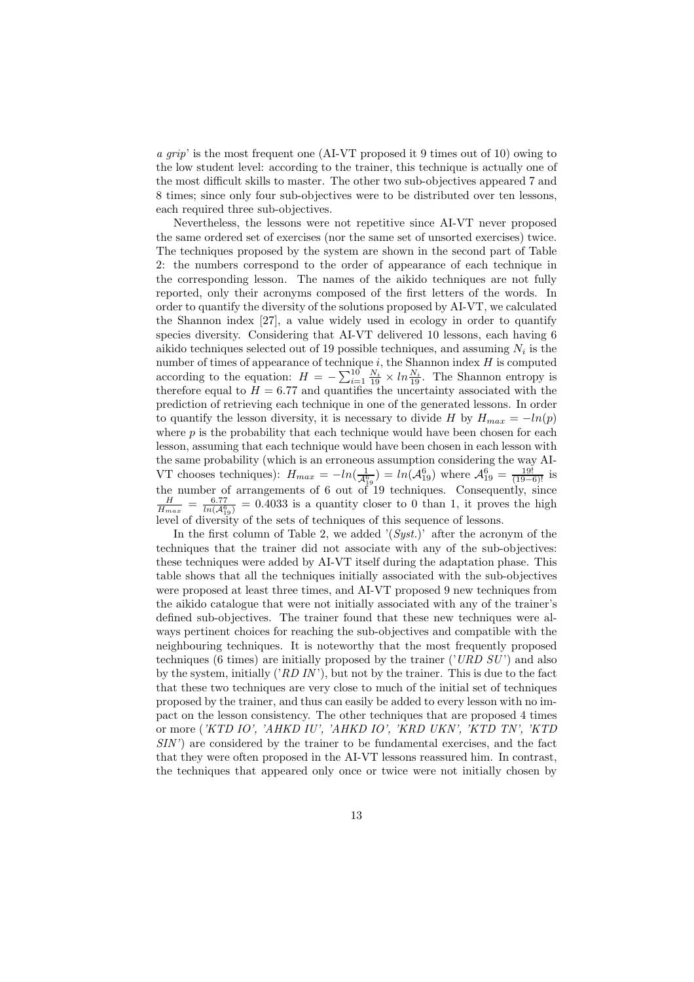*a grip*' is the most frequent one (AI-VT proposed it 9 times out of 10) owing to the low student level: according to the trainer, this technique is actually one of the most difficult skills to master. The other two sub-objectives appeared 7 and 8 times; since only four sub-objectives were to be distributed over ten lessons, each required three sub-objectives.

Nevertheless, the lessons were not repetitive since AI-VT never proposed the same ordered set of exercises (nor the same set of unsorted exercises) twice. The techniques proposed by the system are shown in the second part of Table 2: the numbers correspond to the order of appearance of each technique in the corresponding lesson. The names of the aikido techniques are not fully reported, only their acronyms composed of the first letters of the words. In order to quantify the diversity of the solutions proposed by AI-VT, we calculated the Shannon index [27], a value widely used in ecology in order to quantify species diversity. Considering that AI-VT delivered 10 lessons, each having 6 aikido techniques selected out of 19 possible techniques, and assuming  $N_i$  is the number of times of appearance of technique  $i$ , the Shannon index  $H$  is computed according to the equation:  $H = -\sum_{i=1}^{10} \frac{N_i}{19} \times ln \frac{N_i}{19}$ . The Shannon entropy is therefore equal to  $H = 6.77$  and quantifies the uncertainty associated with the prediction of retrieving each technique in one of the generated lessons. In order to quantify the lesson diversity, it is necessary to divide H by  $H_{max} = -ln(p)$ where  $p$  is the probability that each technique would have been chosen for each lesson, assuming that each technique would have been chosen in each lesson with the same probability (which is an erroneous assumption considering the way AI-VT chooses techniques):  $H_{max} = -ln(\frac{1}{A_{19}^6}) = ln(\mathcal{A}_{19}^6)$  where  $\mathcal{A}_{19}^6 = \frac{19!}{(19-6)!}$  is the number of arrangements of 6 out of 19 techniques. Consequently, since  $\frac{H}{H_{max}} = \frac{6.77}{ln(A_{19}^6)} = 0.4033$  is a quantity closer to 0 than 1, it proves the high level of diversity of the sets of techniques of this sequence of lessons.

In the first column of Table 2, we added '(*Syst.*)' after the acronym of the techniques that the trainer did not associate with any of the sub-objectives: these techniques were added by AI-VT itself during the adaptation phase. This table shows that all the techniques initially associated with the sub-objectives were proposed at least three times, and AI-VT proposed 9 new techniques from the aikido catalogue that were not initially associated with any of the trainer's defined sub-objectives. The trainer found that these new techniques were always pertinent choices for reaching the sub-objectives and compatible with the neighbouring techniques. It is noteworthy that the most frequently proposed techniques (6 times) are initially proposed by the trainer ('*URD SU* ') and also by the system, initially ('*RD IN* '), but not by the trainer. This is due to the fact that these two techniques are very close to much of the initial set of techniques proposed by the trainer, and thus can easily be added to every lesson with no impact on the lesson consistency. The other techniques that are proposed 4 times or more (*'KTD IO', 'AHKD IU', 'AHKD IO', 'KRD UKN', 'KTD TN', 'KTD SIN'*) are considered by the trainer to be fundamental exercises, and the fact that they were often proposed in the AI-VT lessons reassured him. In contrast, the techniques that appeared only once or twice were not initially chosen by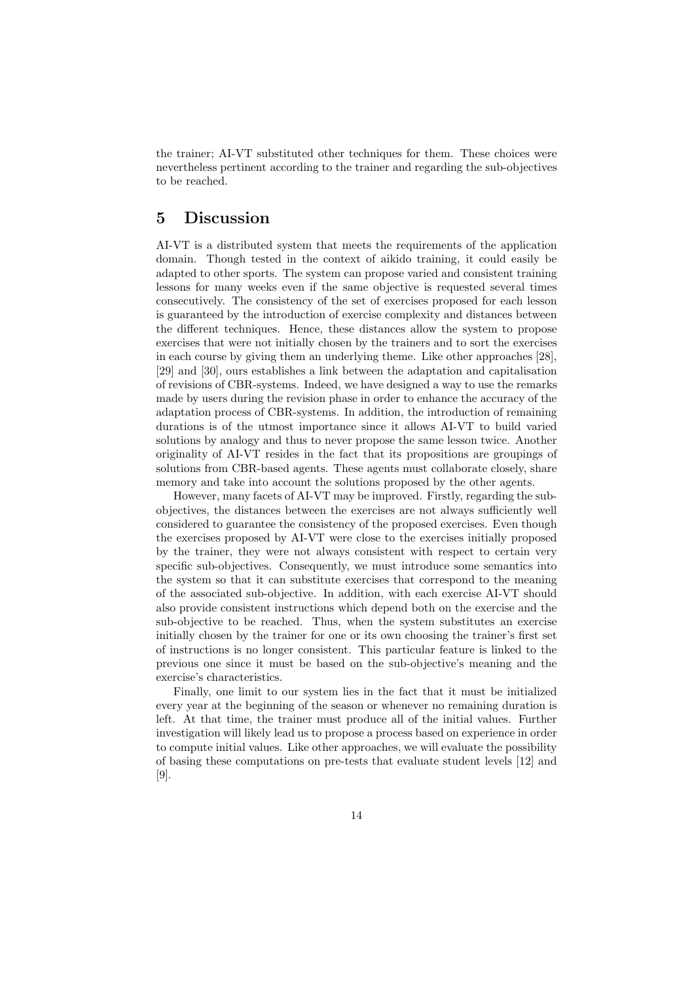the trainer; AI-VT substituted other techniques for them. These choices were nevertheless pertinent according to the trainer and regarding the sub-objectives to be reached.

## 5 Discussion

AI-VT is a distributed system that meets the requirements of the application domain. Though tested in the context of aikido training, it could easily be adapted to other sports. The system can propose varied and consistent training lessons for many weeks even if the same objective is requested several times consecutively. The consistency of the set of exercises proposed for each lesson is guaranteed by the introduction of exercise complexity and distances between the different techniques. Hence, these distances allow the system to propose exercises that were not initially chosen by the trainers and to sort the exercises in each course by giving them an underlying theme. Like other approaches [28], [29] and [30], ours establishes a link between the adaptation and capitalisation of revisions of CBR-systems. Indeed, we have designed a way to use the remarks made by users during the revision phase in order to enhance the accuracy of the adaptation process of CBR-systems. In addition, the introduction of remaining durations is of the utmost importance since it allows AI-VT to build varied solutions by analogy and thus to never propose the same lesson twice. Another originality of AI-VT resides in the fact that its propositions are groupings of solutions from CBR-based agents. These agents must collaborate closely, share memory and take into account the solutions proposed by the other agents.

However, many facets of AI-VT may be improved. Firstly, regarding the subobjectives, the distances between the exercises are not always sufficiently well considered to guarantee the consistency of the proposed exercises. Even though the exercises proposed by AI-VT were close to the exercises initially proposed by the trainer, they were not always consistent with respect to certain very specific sub-objectives. Consequently, we must introduce some semantics into the system so that it can substitute exercises that correspond to the meaning of the associated sub-objective. In addition, with each exercise AI-VT should also provide consistent instructions which depend both on the exercise and the sub-objective to be reached. Thus, when the system substitutes an exercise initially chosen by the trainer for one or its own choosing the trainer's first set of instructions is no longer consistent. This particular feature is linked to the previous one since it must be based on the sub-objective's meaning and the exercise's characteristics.

Finally, one limit to our system lies in the fact that it must be initialized every year at the beginning of the season or whenever no remaining duration is left. At that time, the trainer must produce all of the initial values. Further investigation will likely lead us to propose a process based on experience in order to compute initial values. Like other approaches, we will evaluate the possibility of basing these computations on pre-tests that evaluate student levels [12] and [9].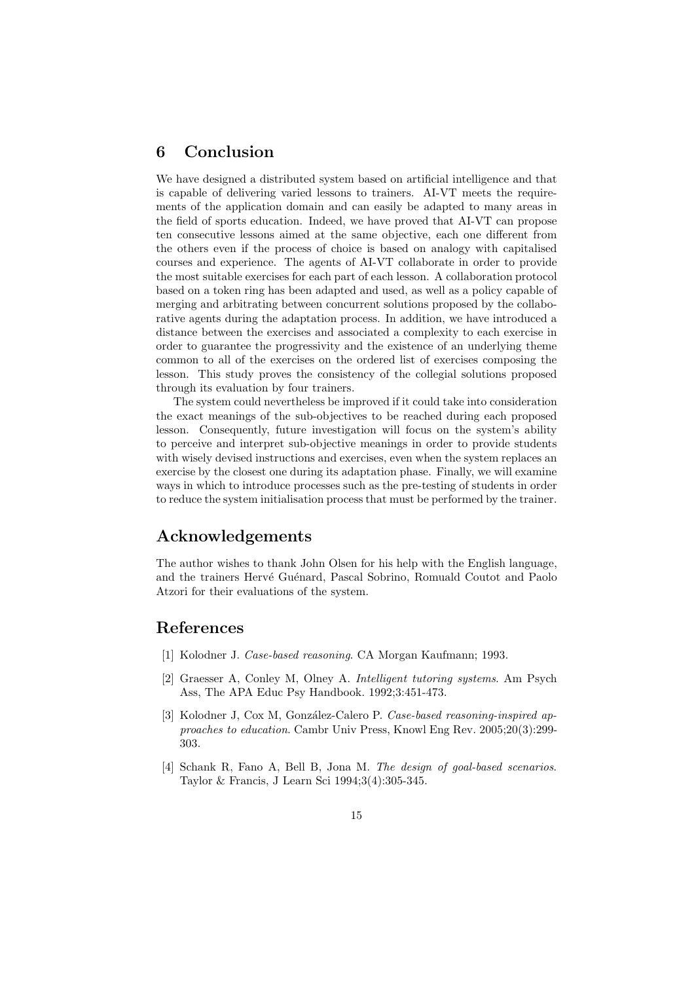# 6 Conclusion

We have designed a distributed system based on artificial intelligence and that is capable of delivering varied lessons to trainers. AI-VT meets the requirements of the application domain and can easily be adapted to many areas in the field of sports education. Indeed, we have proved that AI-VT can propose ten consecutive lessons aimed at the same objective, each one different from the others even if the process of choice is based on analogy with capitalised courses and experience. The agents of AI-VT collaborate in order to provide the most suitable exercises for each part of each lesson. A collaboration protocol based on a token ring has been adapted and used, as well as a policy capable of merging and arbitrating between concurrent solutions proposed by the collaborative agents during the adaptation process. In addition, we have introduced a distance between the exercises and associated a complexity to each exercise in order to guarantee the progressivity and the existence of an underlying theme common to all of the exercises on the ordered list of exercises composing the lesson. This study proves the consistency of the collegial solutions proposed through its evaluation by four trainers.

The system could nevertheless be improved if it could take into consideration the exact meanings of the sub-objectives to be reached during each proposed lesson. Consequently, future investigation will focus on the system's ability to perceive and interpret sub-objective meanings in order to provide students with wisely devised instructions and exercises, even when the system replaces an exercise by the closest one during its adaptation phase. Finally, we will examine ways in which to introduce processes such as the pre-testing of students in order to reduce the system initialisation process that must be performed by the trainer.

# Acknowledgements

The author wishes to thank John Olsen for his help with the English language, and the trainers Hervé Guénard, Pascal Sobrino, Romuald Coutot and Paolo Atzori for their evaluations of the system.

## References

- [1] Kolodner J. *Case-based reasoning*. CA Morgan Kaufmann; 1993.
- [2] Graesser A, Conley M, Olney A. *Intelligent tutoring systems*. Am Psych Ass, The APA Educ Psy Handbook. 1992;3:451-473.
- [3] Kolodner J, Cox M, Gonz´alez-Calero P. *Case-based reasoning-inspired approaches to education*. Cambr Univ Press, Knowl Eng Rev. 2005;20(3):299- 303.
- [4] Schank R, Fano A, Bell B, Jona M. *The design of goal-based scenarios*. Taylor & Francis, J Learn Sci 1994;3(4):305-345.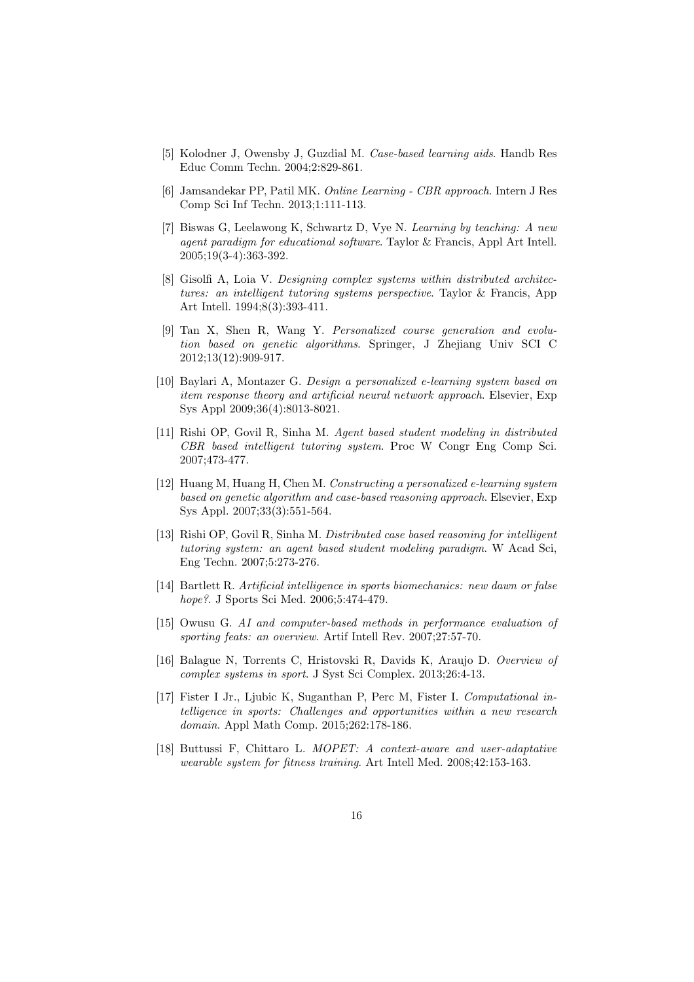- [5] Kolodner J, Owensby J, Guzdial M. *Case-based learning aids*. Handb Res Educ Comm Techn. 2004;2:829-861.
- [6] Jamsandekar PP, Patil MK. *Online Learning CBR approach*. Intern J Res Comp Sci Inf Techn. 2013;1:111-113.
- [7] Biswas G, Leelawong K, Schwartz D, Vye N. *Learning by teaching: A new agent paradigm for educational software*. Taylor & Francis, Appl Art Intell. 2005;19(3-4):363-392.
- [8] Gisolfi A, Loia V. *Designing complex systems within distributed architectures: an intelligent tutoring systems perspective*. Taylor & Francis, App Art Intell. 1994;8(3):393-411.
- [9] Tan X, Shen R, Wang Y. *Personalized course generation and evolution based on genetic algorithms*. Springer, J Zhejiang Univ SCI C 2012;13(12):909-917.
- [10] Baylari A, Montazer G. *Design a personalized e-learning system based on item response theory and artificial neural network approach*. Elsevier, Exp Sys Appl 2009;36(4):8013-8021.
- [11] Rishi OP, Govil R, Sinha M. *Agent based student modeling in distributed CBR based intelligent tutoring system*. Proc W Congr Eng Comp Sci. 2007;473-477.
- [12] Huang M, Huang H, Chen M. *Constructing a personalized e-learning system based on genetic algorithm and case-based reasoning approach*. Elsevier, Exp Sys Appl. 2007;33(3):551-564.
- [13] Rishi OP, Govil R, Sinha M. *Distributed case based reasoning for intelligent tutoring system: an agent based student modeling paradigm*. W Acad Sci, Eng Techn. 2007;5:273-276.
- [14] Bartlett R. *Artificial intelligence in sports biomechanics: new dawn or false hope?*. J Sports Sci Med. 2006;5:474-479.
- [15] Owusu G. *AI and computer-based methods in performance evaluation of sporting feats: an overview*. Artif Intell Rev. 2007;27:57-70.
- [16] Balague N, Torrents C, Hristovski R, Davids K, Araujo D. *Overview of complex systems in sport*. J Syst Sci Complex. 2013;26:4-13.
- [17] Fister I Jr., Ljubic K, Suganthan P, Perc M, Fister I. *Computational intelligence in sports: Challenges and opportunities within a new research domain*. Appl Math Comp. 2015;262:178-186.
- [18] Buttussi F, Chittaro L. *MOPET: A context-aware and user-adaptative wearable system for fitness training*. Art Intell Med. 2008;42:153-163.